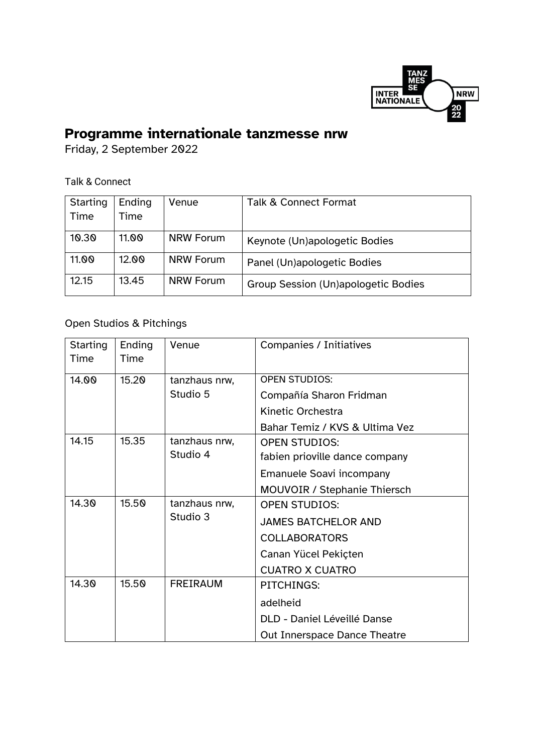

## **Programme internationale tanzmesse nrw**

Friday, 2 September 2022

## Talk & Connect

| Starting | Ending | Venue            | <b>Talk &amp; Connect Format</b>    |
|----------|--------|------------------|-------------------------------------|
| Time     | 'ime   |                  |                                     |
|          |        |                  |                                     |
| 10.30    | 11.00  | <b>NRW Forum</b> | Keynote (Un)apologetic Bodies       |
| 11.00    | 12.00  | <b>NRW Forum</b> |                                     |
|          |        |                  | Panel (Un)apologetic Bodies         |
| 12.15    | 13.45  | <b>NRW Forum</b> | Group Session (Un)apologetic Bodies |
|          |        |                  |                                     |

## Open Studios & Pitchings

| Starting<br>Time | Ending<br>Time         | Venue           | <b>Companies / Initiatives</b>      |  |
|------------------|------------------------|-----------------|-------------------------------------|--|
| 14.00            | 15.20                  | tanzhaus nrw,   | <b>OPEN STUDIOS:</b>                |  |
|                  |                        | Studio 5        | Compañía Sharon Fridman             |  |
|                  |                        |                 | Kinetic Orchestra                   |  |
|                  |                        |                 | Bahar Temiz / KVS & Ultima Vez      |  |
| 14.15            | 15.35                  | tanzhaus nrw,   | <b>OPEN STUDIOS:</b>                |  |
|                  |                        | Studio 4        | fabien prioville dance company      |  |
|                  |                        |                 | <b>Emanuele Soavi incompany</b>     |  |
|                  |                        |                 | <b>MOUVOIR / Stephanie Thiersch</b> |  |
| 14.30            | 15.50<br>tanzhaus nrw, |                 | <b>OPEN STUDIOS:</b>                |  |
|                  |                        | Studio 3        | <b>JAMES BATCHELOR AND</b>          |  |
|                  |                        |                 | <b>COLLABORATORS</b>                |  |
|                  |                        |                 | Canan Yücel Pekiçten                |  |
|                  |                        |                 | <b>CUATRO X CUATRO</b>              |  |
| 14.30            | 15.50                  | <b>FREIRAUM</b> | <b>PITCHINGS:</b>                   |  |
|                  |                        |                 | adelheid                            |  |
|                  |                        |                 | DLD - Daniel Léveillé Danse         |  |
|                  |                        |                 | Out Innerspace Dance Theatre        |  |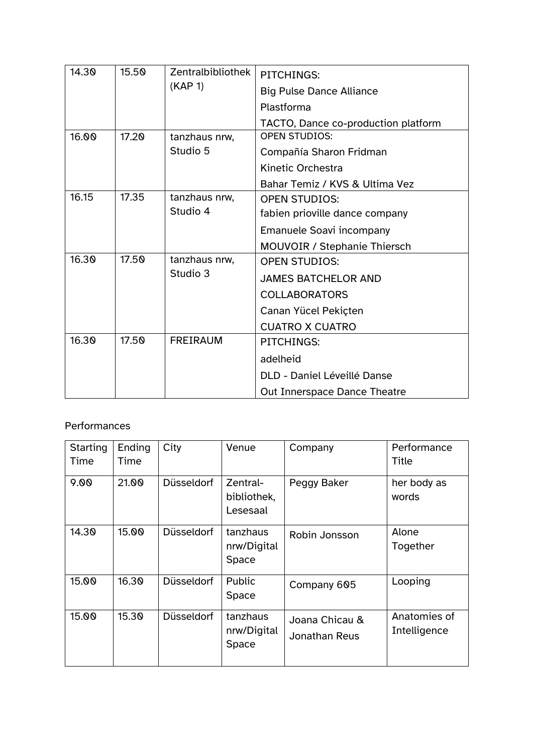| 14.30<br>15.50 |       | Zentralbibliothek | PITCHINGS:                          |  |
|----------------|-------|-------------------|-------------------------------------|--|
|                |       | (KAP 1)           | <b>Big Pulse Dance Alliance</b>     |  |
|                |       |                   | Plastforma                          |  |
|                |       |                   | TACTO, Dance co-production platform |  |
| 16.00          | 17.20 | tanzhaus nrw,     | <b>OPEN STUDIOS:</b>                |  |
|                |       | Studio 5          | Compañía Sharon Fridman             |  |
|                |       |                   | <b>Kinetic Orchestra</b>            |  |
|                |       |                   | Bahar Temiz / KVS & Ultima Vez      |  |
| 16.15          | 17.35 | tanzhaus nrw,     | <b>OPEN STUDIOS:</b>                |  |
|                |       | Studio 4          | fabien prioville dance company      |  |
|                |       |                   | Emanuele Soavi incompany            |  |
|                |       |                   | <b>MOUVOIR / Stephanie Thiersch</b> |  |
| 16.30          | 17.50 | tanzhaus nrw,     | <b>OPEN STUDIOS:</b>                |  |
|                |       | Studio 3          | <b>JAMES BATCHELOR AND</b>          |  |
|                |       |                   | <b>COLLABORATORS</b>                |  |
|                |       |                   | Canan Yücel Pekiçten                |  |
|                |       |                   | <b>CUATRO X CUATRO</b>              |  |
| 16.30          | 17.50 | <b>FREIRAUM</b>   | PITCHINGS:                          |  |
|                |       |                   | adelheid                            |  |
|                |       |                   | DLD - Daniel Léveillé Danse         |  |
|                |       |                   | Out Innerspace Dance Theatre        |  |

## Performances

| Starting<br>Time | Ending<br>Time | City              | Venue                               | Company                         | Performance<br>Title         |
|------------------|----------------|-------------------|-------------------------------------|---------------------------------|------------------------------|
| 9.00             | 21.00          | <b>Düsseldorf</b> | Zentral-<br>bibliothek,<br>Lesesaal | Peggy Baker                     | her body as<br>words         |
| 14.30            | 15.00          | <b>Düsseldorf</b> | tanzhaus<br>nrw/Digital<br>Space    | Robin Jonsson                   | Alone<br>Together            |
| 15.00            | 16.30          | <b>Düsseldorf</b> | Public<br>Space                     | Company 605                     | Looping                      |
| 15.00            | 15.30          | <b>Düsseldorf</b> | tanzhaus<br>nrw/Digital<br>Space    | Joana Chicau &<br>Jonathan Reus | Anatomies of<br>Intelligence |